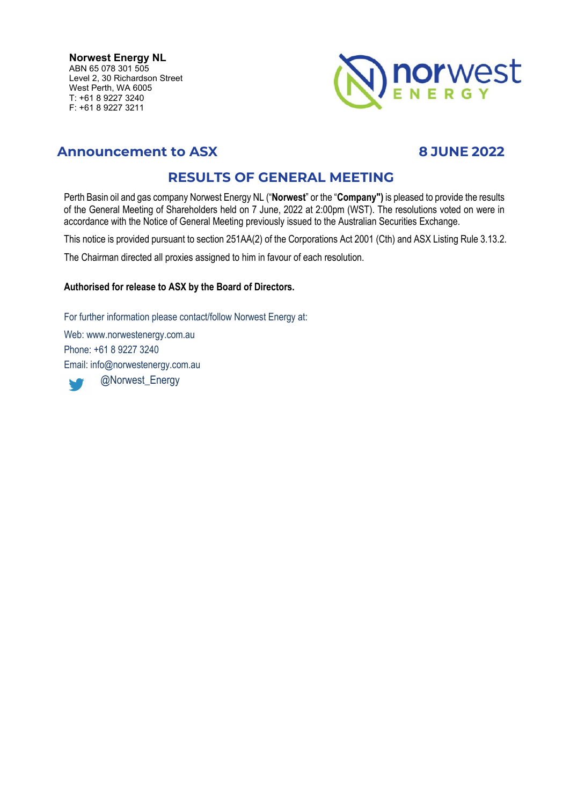**Norwest Energy NL** ABN 65 078 301 505 Level 2, 30 Richardson Street West Perth, WA 6005 T: +61 8 9227 3240 F: +61 8 9227 3211



# **Announcement to ASX 8 JUNE 2022**

# **RESULTS OF GENERAL MEETING**

Perth Basin oil and gas company Norwest Energy NL ("**Norwest**" or the "**Company")** is pleased to provide the results of the General Meeting of Shareholders held on 7 June, 2022 at 2:00pm (WST). The resolutions voted on were in accordance with the Notice of General Meeting previously issued to the Australian Securities Exchange.

This notice is provided pursuant to section 251AA(2) of the Corporations Act 2001 (Cth) and ASX Listing Rule 3.13.2.

The Chairman directed all proxies assigned to him in favour of each resolution.

### **Authorised for release to ASX by the Board of Directors.**

For further information please contact/follow Norwest Energy at: Web: www.norwestenergy.com.au

Phone: +61 8 9227 3240 Email: info@norwestenergy.com.au @Norwest\_EnergyW